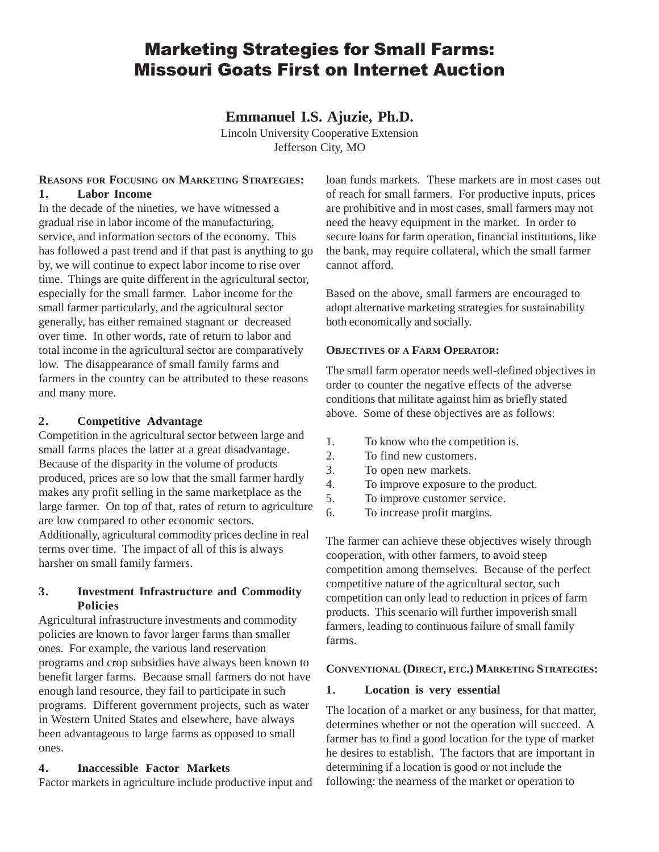# Marketing Strategies for Small Farms: Missouri Goats First on Internet Auction

**Emmanuel I.S. Ajuzie, Ph.D.**

Lincoln University Cooperative Extension Jefferson City, MO

#### **REASONS FOR FOCUSING ON MARKETING STRATEGIES: 1. Labor Income**

In the decade of the nineties, we have witnessed a gradual rise in labor income of the manufacturing, service, and information sectors of the economy. This has followed a past trend and if that past is anything to go by, we will continue to expect labor income to rise over time. Things are quite different in the agricultural sector, especially for the small farmer. Labor income for the small farmer particularly, and the agricultural sector generally, has either remained stagnant or decreased over time. In other words, rate of return to labor and total income in the agricultural sector are comparatively low. The disappearance of small family farms and farmers in the country can be attributed to these reasons and many more.

#### **2. Competitive Advantage**

Competition in the agricultural sector between large and small farms places the latter at a great disadvantage. Because of the disparity in the volume of products produced, prices are so low that the small farmer hardly makes any profit selling in the same marketplace as the large farmer. On top of that, rates of return to agriculture are low compared to other economic sectors. Additionally, agricultural commodity prices decline in real terms over time. The impact of all of this is always harsher on small family farmers.

## **3. Investment Infrastructure and Commodity Policies**

Agricultural infrastructure investments and commodity policies are known to favor larger farms than smaller ones. For example, the various land reservation programs and crop subsidies have always been known to benefit larger farms. Because small farmers do not have enough land resource, they fail to participate in such programs. Different government projects, such as water in Western United States and elsewhere, have always been advantageous to large farms as opposed to small ones.

## **4. Inaccessible Factor Markets**

Factor markets in agriculture include productive input and

loan funds markets. These markets are in most cases out of reach for small farmers. For productive inputs, prices are prohibitive and in most cases, small farmers may not need the heavy equipment in the market. In order to secure loans for farm operation, financial institutions, like the bank, may require collateral, which the small farmer cannot afford.

Based on the above, small farmers are encouraged to adopt alternative marketing strategies for sustainability both economically and socially.

#### **OBJECTIVES OF A FARM OPERATOR:**

The small farm operator needs well-defined objectives in order to counter the negative effects of the adverse conditions that militate against him as briefly stated above. Some of these objectives are as follows:

- 1. To know who the competition is.
- 2. To find new customers.
- 3. To open new markets.
- 4. To improve exposure to the product.
- 5. To improve customer service.
- 6. To increase profit margins.

The farmer can achieve these objectives wisely through cooperation, with other farmers, to avoid steep competition among themselves. Because of the perfect competitive nature of the agricultural sector, such competition can only lead to reduction in prices of farm products. This scenario will further impoverish small farmers, leading to continuous failure of small family farms.

## **CONVENTIONAL (DIRECT, ETC.) MARKETING STRATEGIES:**

#### **1. Location is very essential**

The location of a market or any business, for that matter, determines whether or not the operation will succeed. A farmer has to find a good location for the type of market he desires to establish. The factors that are important in determining if a location is good or not include the following: the nearness of the market or operation to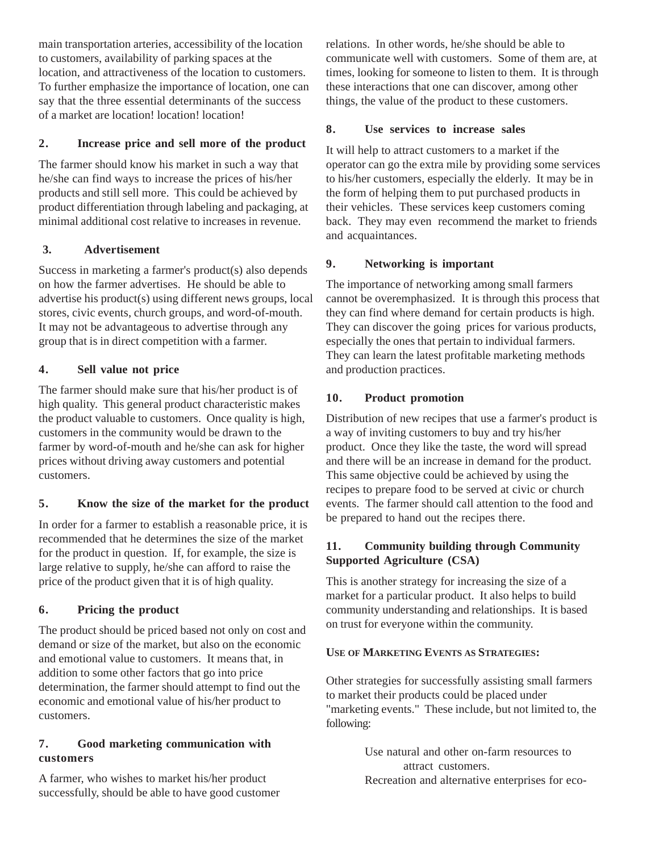main transportation arteries, accessibility of the location to customers, availability of parking spaces at the location, and attractiveness of the location to customers. To further emphasize the importance of location, one can say that the three essential determinants of the success of a market are location! location! location!

## **2. Increase price and sell more of the product**

The farmer should know his market in such a way that he/she can find ways to increase the prices of his/her products and still sell more. This could be achieved by product differentiation through labeling and packaging, at minimal additional cost relative to increases in revenue.

## **3. Advertisement**

Success in marketing a farmer's product(s) also depends on how the farmer advertises. He should be able to advertise his product(s) using different news groups, local stores, civic events, church groups, and word-of-mouth. It may not be advantageous to advertise through any group that is in direct competition with a farmer.

## **4. Sell value not price**

The farmer should make sure that his/her product is of high quality. This general product characteristic makes the product valuable to customers. Once quality is high, customers in the community would be drawn to the farmer by word-of-mouth and he/she can ask for higher prices without driving away customers and potential customers.

## **5. Know the size of the market for the product**

In order for a farmer to establish a reasonable price, it is recommended that he determines the size of the market for the product in question. If, for example, the size is large relative to supply, he/she can afford to raise the price of the product given that it is of high quality.

## **6. Pricing the product**

The product should be priced based not only on cost and demand or size of the market, but also on the economic and emotional value to customers. It means that, in addition to some other factors that go into price determination, the farmer should attempt to find out the economic and emotional value of his/her product to customers.

#### **7. Good marketing communication with customers**

A farmer, who wishes to market his/her product successfully, should be able to have good customer relations. In other words, he/she should be able to communicate well with customers. Some of them are, at times, looking for someone to listen to them. It is through these interactions that one can discover, among other things, the value of the product to these customers.

### **8. Use services to increase sales**

It will help to attract customers to a market if the operator can go the extra mile by providing some services to his/her customers, especially the elderly. It may be in the form of helping them to put purchased products in their vehicles. These services keep customers coming back. They may even recommend the market to friends and acquaintances.

## **9. Networking is important**

The importance of networking among small farmers cannot be overemphasized. It is through this process that they can find where demand for certain products is high. They can discover the going prices for various products, especially the ones that pertain to individual farmers. They can learn the latest profitable marketing methods and production practices.

## **10. Product promotion**

Distribution of new recipes that use a farmer's product is a way of inviting customers to buy and try his/her product. Once they like the taste, the word will spread and there will be an increase in demand for the product. This same objective could be achieved by using the recipes to prepare food to be served at civic or church events. The farmer should call attention to the food and be prepared to hand out the recipes there.

## **11. Community building through Community Supported Agriculture (CSA)**

This is another strategy for increasing the size of a market for a particular product. It also helps to build community understanding and relationships. It is based on trust for everyone within the community.

## **USE OF MARKETING EVENTS AS STRATEGIES:**

Other strategies for successfully assisting small farmers to market their products could be placed under "marketing events." These include, but not limited to, the following:

> Use natural and other on-farm resources to attract customers. Recreation and alternative enterprises for eco-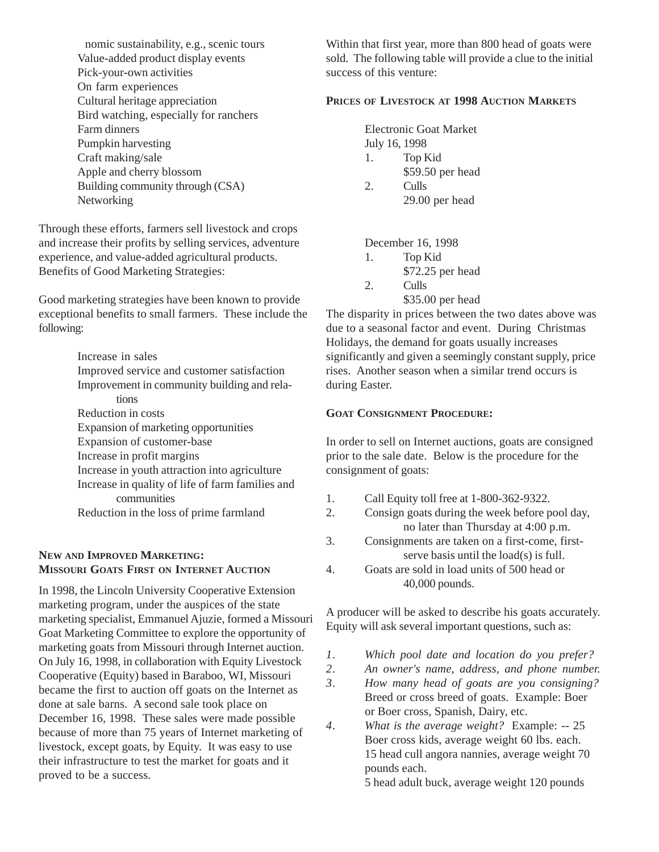nomic sustainability, e.g., scenic tours Value-added product display events Pick-your-own activities On farm experiences Cultural heritage appreciation Bird watching, especially for ranchers Farm dinners Pumpkin harvesting Craft making/sale Apple and cherry blossom Building community through (CSA) **Networking** 

Through these efforts, farmers sell livestock and crops and increase their profits by selling services, adventure experience, and value-added agricultural products. Benefits of Good Marketing Strategies:

Good marketing strategies have been known to provide exceptional benefits to small farmers. These include the following:

> Increase in sales Improved service and customer satisfaction Improvement in community building and relations Reduction in costs Expansion of marketing opportunities Expansion of customer-base Increase in profit margins Increase in youth attraction into agriculture Increase in quality of life of farm families and communities Reduction in the loss of prime farmland

## **NEW AND IMPROVED MARKETING: MISSOURI GOATS FIRST ON INTERNET AUCTION**

In 1998, the Lincoln University Cooperative Extension marketing program, under the auspices of the state marketing specialist, Emmanuel Ajuzie, formed a Missouri Goat Marketing Committee to explore the opportunity of marketing goats from Missouri through Internet auction. On July 16, 1998, in collaboration with Equity Livestock Cooperative (Equity) based in Baraboo, WI, Missouri became the first to auction off goats on the Internet as done at sale barns. A second sale took place on December 16, 1998. These sales were made possible because of more than 75 years of Internet marketing of livestock, except goats, by Equity. It was easy to use their infrastructure to test the market for goats and it proved to be a success.

Within that first year, more than 800 head of goats were sold. The following table will provide a clue to the initial success of this venture:

### **PRICES OF LIVESTOCK AT 1998 AUCTION MARKETS**

|                       | <b>Electronic Goat Market</b> |
|-----------------------|-------------------------------|
|                       | July 16, 1998                 |
| 1.                    | Top Kid                       |
|                       | \$59.50 per head              |
| $\mathcal{D}_{\cdot}$ | Culls                         |
|                       | $29.00$ per head              |

December 16, 1998

| 1. | Top Kid          |
|----|------------------|
|    | \$72.25 per head |
| 2. | Culls            |

\$35.00 per head

The disparity in prices between the two dates above was due to a seasonal factor and event. During Christmas Holidays, the demand for goats usually increases significantly and given a seemingly constant supply, price rises. Another season when a similar trend occurs is during Easter.

#### **GOAT CONSIGNMENT PROCEDURE:**

In order to sell on Internet auctions, goats are consigned prior to the sale date. Below is the procedure for the consignment of goats:

- 1. Call Equity toll free at 1-800-362-9322.
- 2. Consign goats during the week before pool day, no later than Thursday at 4:00 p.m.
- 3. Consignments are taken on a first-come, firstserve basis until the load(s) is full.
- 4. Goats are sold in load units of 500 head or 40,000 pounds.

A producer will be asked to describe his goats accurately. Equity will ask several important questions, such as:

*1. Which pool date and location do you prefer?*

*2. An owner's name, address, and phone number.*

- *3. How many head of goats are you consigning?* Breed or cross breed of goats. Example: Boer or Boer cross, Spanish, Dairy, etc.
- *4. What is the average weight?* Example: -- 25 Boer cross kids, average weight 60 lbs. each. 15 head cull angora nannies, average weight 70 pounds each.

5 head adult buck, average weight 120 pounds